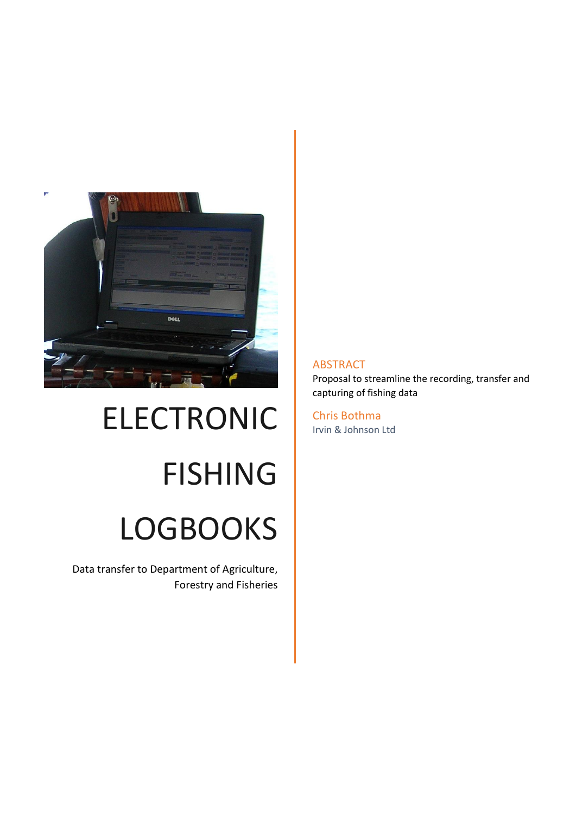

# ELECTRONIC FISHING LOGBOOKS

Data transfer to Department of Agriculture, Forestry and Fisheries

#### ABSTRACT

Proposal to streamline the recording, transfer and capturing of fishing data

Chris Bothma Irvin & Johnson Ltd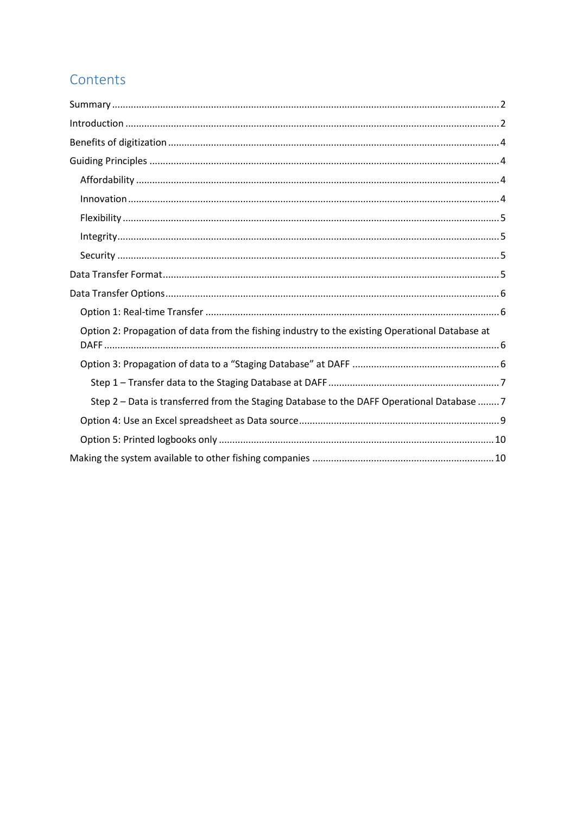# Contents

| Option 2: Propagation of data from the fishing industry to the existing Operational Database at |
|-------------------------------------------------------------------------------------------------|
|                                                                                                 |
|                                                                                                 |
| Step 2 - Data is transferred from the Staging Database to the DAFF Operational Database  7      |
|                                                                                                 |
|                                                                                                 |
|                                                                                                 |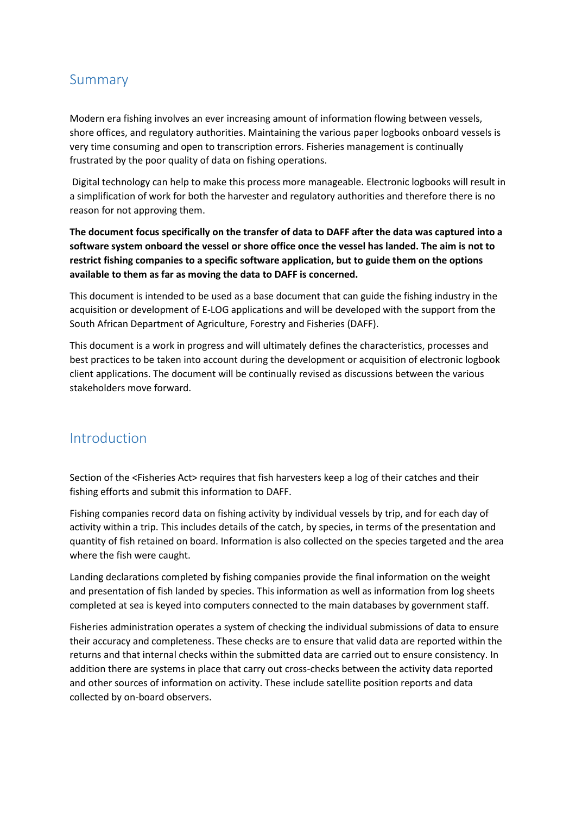## <span id="page-2-0"></span>Summary

Modern era fishing involves an ever increasing amount of information flowing between vessels, shore offices, and regulatory authorities. Maintaining the various paper logbooks onboard vessels is very time consuming and open to transcription errors. Fisheries management is continually frustrated by the poor quality of data on fishing operations.

Digital technology can help to make this process more manageable. Electronic logbooks will result in a simplification of work for both the harvester and regulatory authorities and therefore there is no reason for not approving them.

**The document focus specifically on the transfer of data to DAFF after the data was captured into a software system onboard the vessel or shore office once the vessel has landed. The aim is not to restrict fishing companies to a specific software application, but to guide them on the options available to them as far as moving the data to DAFF is concerned.**

This document is intended to be used as a base document that can guide the fishing industry in the acquisition or development of E-LOG applications and will be developed with the support from the South African Department of Agriculture, Forestry and Fisheries (DAFF).

This document is a work in progress and will ultimately defines the characteristics, processes and best practices to be taken into account during the development or acquisition of electronic logbook client applications. The document will be continually revised as discussions between the various stakeholders move forward.

## <span id="page-2-1"></span>Introduction

Section of the <Fisheries Act> requires that fish harvesters keep a log of their catches and their fishing efforts and submit this information to DAFF.

Fishing companies record data on fishing activity by individual vessels by trip, and for each day of activity within a trip. This includes details of the catch, by species, in terms of the presentation and quantity of fish retained on board. Information is also collected on the species targeted and the area where the fish were caught.

Landing declarations completed by fishing companies provide the final information on the weight and presentation of fish landed by species. This information as well as information from log sheets completed at sea is keyed into computers connected to the main databases by government staff.

Fisheries administration operates a system of checking the individual submissions of data to ensure their accuracy and completeness. These checks are to ensure that valid data are reported within the returns and that internal checks within the submitted data are carried out to ensure consistency. In addition there are systems in place that carry out cross-checks between the activity data reported and other sources of information on activity. These include satellite position reports and data collected by on-board observers.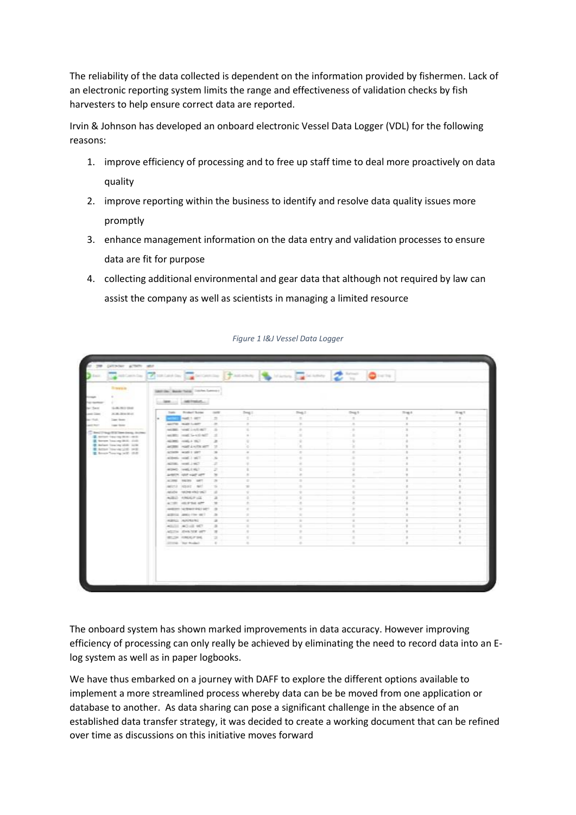The reliability of the data collected is dependent on the information provided by fishermen. Lack of an electronic reporting system limits the range and effectiveness of validation checks by fish harvesters to help ensure correct data are reported.

Irvin & Johnson has developed an onboard electronic Vessel Data Logger (VDL) for the following reasons:

- 1. improve efficiency of processing and to free up staff time to deal more proactively on data quality
- 2. improve reporting within the business to identify and resolve data quality issues more promptly
- 3. enhance management information on the data entry and validation processes to ensure data are fit for purpose
- 4. collecting additional environmental and gear data that although not required by law can assist the company as well as scientists in managing a limited resource

| and with Control Con-                                                                                                                                                                                                                                              |  |                                      |                                                                                                                                                                       |                                            | Finderly Columbs Tansas In Hann Columb | Saturday.<br><b>Co</b> both                                                                    |               |                |
|--------------------------------------------------------------------------------------------------------------------------------------------------------------------------------------------------------------------------------------------------------------------|--|--------------------------------------|-----------------------------------------------------------------------------------------------------------------------------------------------------------------------|--------------------------------------------|----------------------------------------|------------------------------------------------------------------------------------------------|---------------|----------------|
| <b>Save 5</b>                                                                                                                                                                                                                                                      |  | SAID De Charles Today, Columb Lamour |                                                                                                                                                                       |                                            |                                        |                                                                                                |               |                |
| a presidente della con-                                                                                                                                                                                                                                            |  |                                      |                                                                                                                                                                       |                                            |                                        |                                                                                                |               |                |
| Top reported                                                                                                                                                                                                                                                       |  | AMERICAN<br><b>Later</b>             |                                                                                                                                                                       |                                            |                                        |                                                                                                |               |                |
| 5-8-T01 DVA<br>by Saw                                                                                                                                                                                                                                              |  | <b>Broker: Same</b><br>Tools.        | <b>July 19</b>                                                                                                                                                        | $2mg +$                                    | 704.7                                  | Drug 9                                                                                         | Truck.        | $-341$         |
| ALM JOHN M.H.<br>and Con-<br>be that.<br>Copy Green<br>and for<br>Lane Street<br>Checking States loop in two<br>E street two op it is - on it.<br>I been beginning that shall<br>G. Adam has be sittle lack<br>E kms his leads out<br>E. Brook Towning (with 1998) |  | HART 1, 2011                         | $\Rightarrow$                                                                                                                                                         | $\equiv$                                   | $\equiv$                               | $\equiv$                                                                                       | $\equiv$      | $\pm$          |
|                                                                                                                                                                                                                                                                    |  | MOTH WAS LAST                        | $\equiv$                                                                                                                                                              | $\sim$                                     | $\equiv$                               | $\sim$                                                                                         | ×             | $\sim$         |
|                                                                                                                                                                                                                                                                    |  | Take the Chevy (2003)                | $\Rightarrow$                                                                                                                                                         |                                            | $\sim$                                 | $\pm$                                                                                          | $\mathbf{H}$  | $\equiv$       |
|                                                                                                                                                                                                                                                                    |  | another count for a street.          | $-10$                                                                                                                                                                 | $\sim$                                     | $\equiv$                               | ×<br>٠                                                                                         | $\mathbb{R}$  | $\sim$<br>k.   |
|                                                                                                                                                                                                                                                                    |  | ALCOHOL: HOMEL A VICT                | $\mathcal{L}_{\mathcal{A}}^{\mathcal{A}}(\mathcal{A})=\mathcal{L}_{\mathcal{A}}^{\mathcal{A}}(\mathcal{A})\oplus\mathcal{L}_{\mathcal{A}}^{\mathcal{A}}(\mathcal{A})$ | ×                                          | $\mathbf{r}$                           | ÷                                                                                              | ٠             | ×              |
|                                                                                                                                                                                                                                                                    |  | ANTER HART & HOTEL ARTS              | $\mathbb{R}$                                                                                                                                                          | ×                                          | $\alpha$                               | ×                                                                                              | $\mathbf{u}$  | $\equiv$       |
|                                                                                                                                                                                                                                                                    |  | ATMOS work I sent                    | $-16$                                                                                                                                                                 | $\sim$                                     | $\sim$                                 | $\sim$                                                                                         | $\pm$         | $\mathcal{L}$  |
|                                                                                                                                                                                                                                                                    |  | actions, sold 1 still.               | $\mathcal{L}_{\text{in}}$                                                                                                                                             | $\qquad \qquad \blacksquare$               | ٠                                      | $\mathcal{L}$                                                                                  |               | $\pm$          |
|                                                                                                                                                                                                                                                                    |  | ACTIVE HOME LINES                    | $\mathcal{B}$                                                                                                                                                         | ÷                                          | $\sim$                                 | ٠                                                                                              | $\mathbb{R}$  | ŝ.             |
|                                                                                                                                                                                                                                                                    |  | AGMS (HALLY RD)                      | ×                                                                                                                                                                     | $\pm$                                      | 王                                      | ٠                                                                                              | ×             | $\overline{z}$ |
|                                                                                                                                                                                                                                                                    |  | ANSON HAR HART WITH                  | $\equiv$                                                                                                                                                              | $\pm$                                      | $\equiv$                               | $\frac{1}{2} \left( \frac{1}{2} \right) \left( \frac{1}{2} \right) \left( \frac{1}{2} \right)$ | п             | $\equiv$       |
|                                                                                                                                                                                                                                                                    |  | AURE SERV ART                        | $\rightarrow$                                                                                                                                                         | $\frac{1}{2} \left( \frac{1}{2} \right)^2$ | $\frac{1}{2}$                          | $\pm$                                                                                          | ×             | $\pm$          |
|                                                                                                                                                                                                                                                                    |  | agest lease and                      | $\rightarrow$                                                                                                                                                         | $\equiv$                                   | $\equiv$                               | $\pm$                                                                                          | $\equiv$      | $\pm$          |
|                                                                                                                                                                                                                                                                    |  | TON DOM MORE REGISTER                | $\frac{1}{2}$                                                                                                                                                         | $\alpha$                                   | $\frac{1}{2}$                          | $\equiv$                                                                                       | $\equiv$      | $\pm$          |
|                                                                                                                                                                                                                                                                    |  | AURUS AMERICAN                       | 土                                                                                                                                                                     | ÷                                          | $\overline{a}$                         | ٠                                                                                              | ٠             | $\pm$          |
|                                                                                                                                                                                                                                                                    |  | ATTN: HESTING                        | $\equiv$                                                                                                                                                              | $\pm$                                      | $\alpha$                               | ×                                                                                              | ×             | $\pm$          |
|                                                                                                                                                                                                                                                                    |  | ANDRE SCRAMMESS DET 30               |                                                                                                                                                                       | $\equiv$                                   | $\pm$                                  | $\pm$                                                                                          | $\frac{1}{2}$ | ×.             |
|                                                                                                                                                                                                                                                                    |  | AMRICAL JEWAL FOR WE'LL              | $\rightarrow$                                                                                                                                                         | $\pm$                                      | ÷                                      | ÷                                                                                              | $\equiv$      | $\pm$          |
|                                                                                                                                                                                                                                                                    |  | NAMES AND GROUND                     | $\frac{1}{2}$                                                                                                                                                         | $\sim$                                     | $\sim$                                 | $\sim$                                                                                         | ٠             | $\pm$          |
|                                                                                                                                                                                                                                                                    |  | ASSISTENCIAL MCT                     | 道                                                                                                                                                                     | -97                                        | Ŧ                                      | ×                                                                                              | ×             | ×              |
|                                                                                                                                                                                                                                                                    |  | ARCTIC JEWA 1978 ART                 | $\pi$                                                                                                                                                                 | $\sim$                                     | $\mathcal{L}$                          | $\sim$                                                                                         | $\mathbf{u}$  | $\pm$          |
|                                                                                                                                                                                                                                                                    |  | <b>WILLIAM FUNDALITY SHE</b>         | ×                                                                                                                                                                     | $\mathcal{L}$                              | ٠                                      |                                                                                                | ٠             | $\pm$          |
|                                                                                                                                                                                                                                                                    |  | Director Text Woodward               | $\sim$                                                                                                                                                                | $\sim$                                     | ÷                                      | $\sim$                                                                                         | $\mathbf{r}$  | $\sim$         |

*Figure 1 I&J Vessel Data Logger*

The onboard system has shown marked improvements in data accuracy. However improving efficiency of processing can only really be achieved by eliminating the need to record data into an Elog system as well as in paper logbooks.

We have thus embarked on a journey with DAFF to explore the different options available to implement a more streamlined process whereby data can be be moved from one application or database to another. As data sharing can pose a significant challenge in the absence of an established data transfer strategy, it was decided to create a working document that can be refined over time as discussions on this initiative moves forward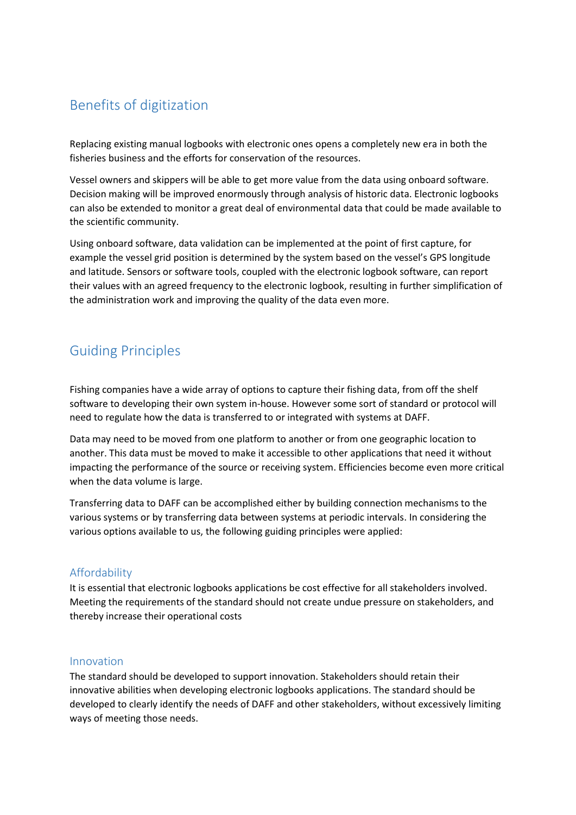## <span id="page-4-0"></span>Benefits of digitization

Replacing existing manual logbooks with electronic ones opens a completely new era in both the fisheries business and the efforts for conservation of the resources.

Vessel owners and skippers will be able to get more value from the data using onboard software. Decision making will be improved enormously through analysis of historic data. Electronic logbooks can also be extended to monitor a great deal of environmental data that could be made available to the scientific community.

Using onboard software, data validation can be implemented at the point of first capture, for example the vessel grid position is determined by the system based on the vessel's GPS longitude and latitude. Sensors or software tools, coupled with the electronic logbook software, can report their values with an agreed frequency to the electronic logbook, resulting in further simplification of the administration work and improving the quality of the data even more.

## <span id="page-4-1"></span>Guiding Principles

Fishing companies have a wide array of options to capture their fishing data, from off the shelf software to developing their own system in-house. However some sort of standard or protocol will need to regulate how the data is transferred to or integrated with systems at DAFF.

Data may need to be moved from one platform to another or from one geographic location to another. This data must be moved to make it accessible to other applications that need it without impacting the performance of the source or receiving system. Efficiencies become even more critical when the data volume is large.

Transferring data to DAFF can be accomplished either by building connection mechanisms to the various systems or by transferring data between systems at periodic intervals. In considering the various options available to us, the following guiding principles were applied:

## <span id="page-4-2"></span>Affordability

It is essential that electronic logbooks applications be cost effective for all stakeholders involved. Meeting the requirements of the standard should not create undue pressure on stakeholders, and thereby increase their operational costs

#### <span id="page-4-3"></span>Innovation

The standard should be developed to support innovation. Stakeholders should retain their innovative abilities when developing electronic logbooks applications. The standard should be developed to clearly identify the needs of DAFF and other stakeholders, without excessively limiting ways of meeting those needs.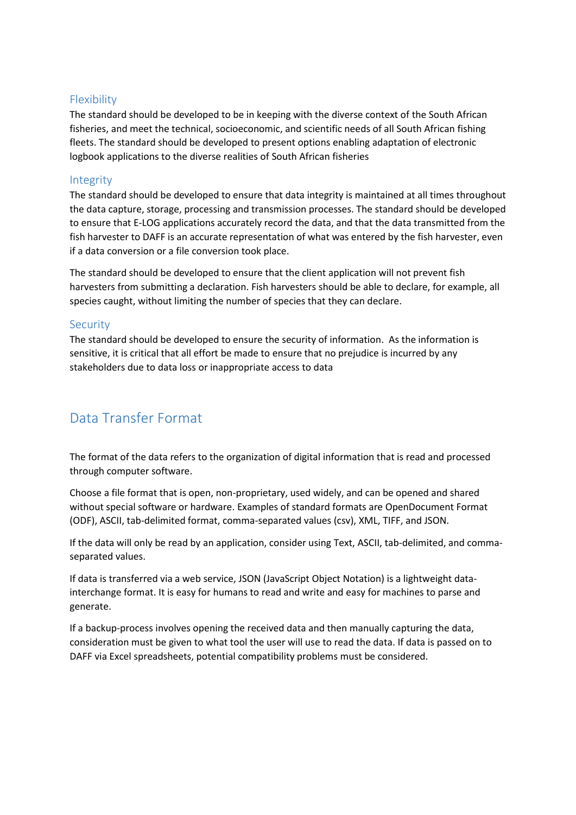#### <span id="page-5-0"></span>Flexibility

The standard should be developed to be in keeping with the diverse context of the South African fisheries, and meet the technical, socioeconomic, and scientific needs of all South African fishing fleets. The standard should be developed to present options enabling adaptation of electronic logbook applications to the diverse realities of South African fisheries

#### <span id="page-5-1"></span>Integrity

The standard should be developed to ensure that data integrity is maintained at all times throughout the data capture, storage, processing and transmission processes. The standard should be developed to ensure that E-LOG applications accurately record the data, and that the data transmitted from the fish harvester to DAFF is an accurate representation of what was entered by the fish harvester, even if a data conversion or a file conversion took place.

The standard should be developed to ensure that the client application will not prevent fish harvesters from submitting a declaration. Fish harvesters should be able to declare, for example, all species caught, without limiting the number of species that they can declare.

#### <span id="page-5-2"></span>**Security**

The standard should be developed to ensure the security of information. As the information is sensitive, it is critical that all effort be made to ensure that no prejudice is incurred by any stakeholders due to data loss or inappropriate access to data

## <span id="page-5-3"></span>Data Transfer Format

The format of the data refers to the organization of digital information that is read and processed through computer software.

Choose a file format that is open, non-proprietary, used widely, and can be opened and shared without special software or hardware. Examples of standard formats are OpenDocument Format (ODF), ASCII, tab-delimited format, comma-separated values (csv), XML, TIFF, and JSON.

If the data will only be read by an application, consider using Text, ASCII, tab-delimited, and commaseparated values.

If data is transferred via a web service, JSON (JavaScript Object Notation) is a lightweight datainterchange format. It is easy for humans to read and write and easy for machines to parse and generate.

If a backup-process involves opening the received data and then manually capturing the data, consideration must be given to what tool the user will use to read the data. If data is passed on to DAFF via Excel spreadsheets, potential compatibility problems must be considered.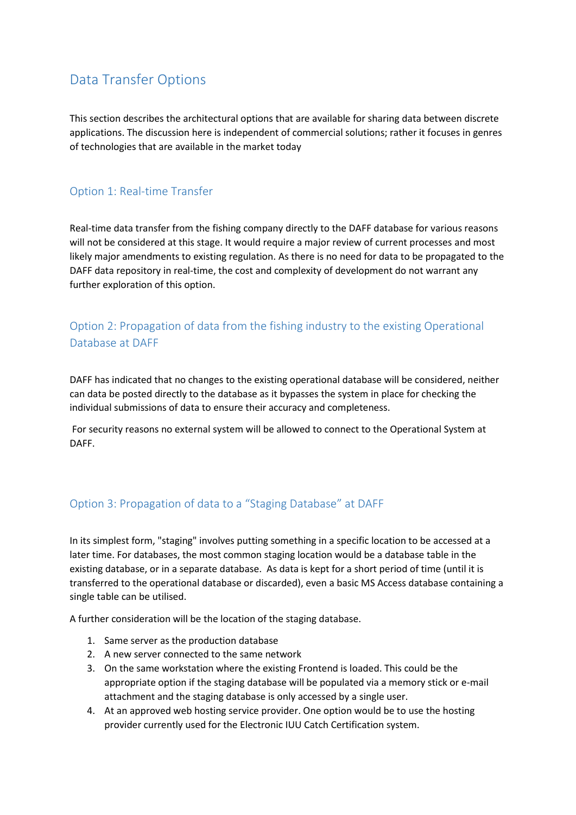## <span id="page-6-0"></span>Data Transfer Options

This section describes the architectural options that are available for sharing data between discrete applications. The discussion here is independent of commercial solutions; rather it focuses in genres of technologies that are available in the market today

### <span id="page-6-1"></span>Option 1: Real-time Transfer

Real-time data transfer from the fishing company directly to the DAFF database for various reasons will not be considered at this stage. It would require a major review of current processes and most likely major amendments to existing regulation. As there is no need for data to be propagated to the DAFF data repository in real-time, the cost and complexity of development do not warrant any further exploration of this option.

## <span id="page-6-2"></span>Option 2: Propagation of data from the fishing industry to the existing Operational Database at DAFF

DAFF has indicated that no changes to the existing operational database will be considered, neither can data be posted directly to the database as it bypasses the system in place for checking the individual submissions of data to ensure their accuracy and completeness.

For security reasons no external system will be allowed to connect to the Operational System at DAFF.

## <span id="page-6-3"></span>Option 3: Propagation of data to a "Staging Database" at DAFF

In its simplest form, "staging" involves putting something in a specific location to be accessed at a later time. For databases, the most common staging location would be a database table in the existing database, or in a separate database. As data is kept for a short period of time (until it is transferred to the operational database or discarded), even a basic MS Access database containing a single table can be utilised.

A further consideration will be the location of the staging database.

- 1. Same server as the production database
- 2. A new server connected to the same network
- 3. On the same workstation where the existing Frontend is loaded. This could be the appropriate option if the staging database will be populated via a memory stick or e-mail attachment and the staging database is only accessed by a single user.
- 4. At an approved web hosting service provider. One option would be to use the hosting provider currently used for the Electronic IUU Catch Certification system.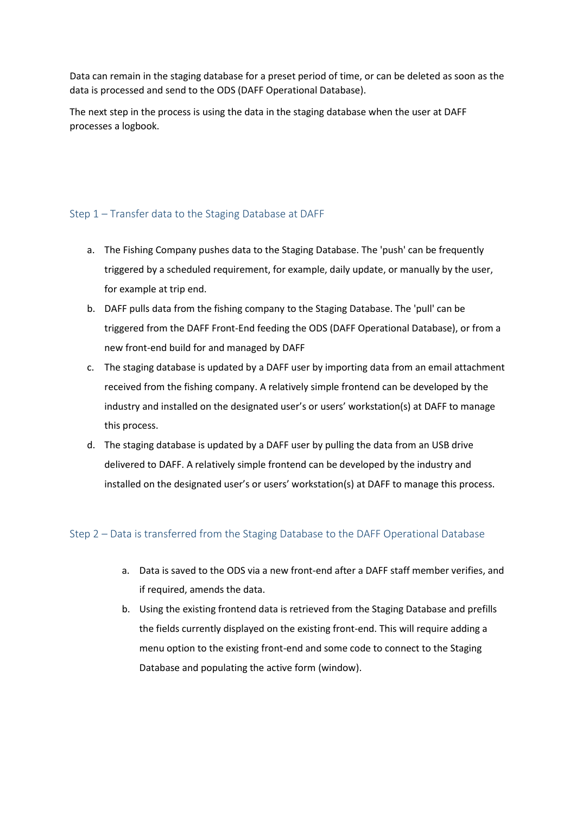Data can remain in the staging database for a preset period of time, or can be deleted as soon as the data is processed and send to the ODS (DAFF Operational Database).

The next step in the process is using the data in the staging database when the user at DAFF processes a logbook.

#### <span id="page-7-0"></span>Step 1 – Transfer data to the Staging Database at DAFF

- a. The Fishing Company pushes data to the Staging Database. The 'push' can be frequently triggered by a scheduled requirement, for example, daily update, or manually by the user, for example at trip end.
- b. DAFF pulls data from the fishing company to the Staging Database. The 'pull' can be triggered from the DAFF Front-End feeding the ODS (DAFF Operational Database), or from a new front-end build for and managed by DAFF
- c. The staging database is updated by a DAFF user by importing data from an email attachment received from the fishing company. A relatively simple frontend can be developed by the industry and installed on the designated user's or users' workstation(s) at DAFF to manage this process.
- d. The staging database is updated by a DAFF user by pulling the data from an USB drive delivered to DAFF. A relatively simple frontend can be developed by the industry and installed on the designated user's or users' workstation(s) at DAFF to manage this process.

#### <span id="page-7-1"></span>Step 2 – Data is transferred from the Staging Database to the DAFF Operational Database

- a. Data is saved to the ODS via a new front-end after a DAFF staff member verifies, and if required, amends the data.
- b. Using the existing frontend data is retrieved from the Staging Database and prefills the fields currently displayed on the existing front-end. This will require adding a menu option to the existing front-end and some code to connect to the Staging Database and populating the active form (window).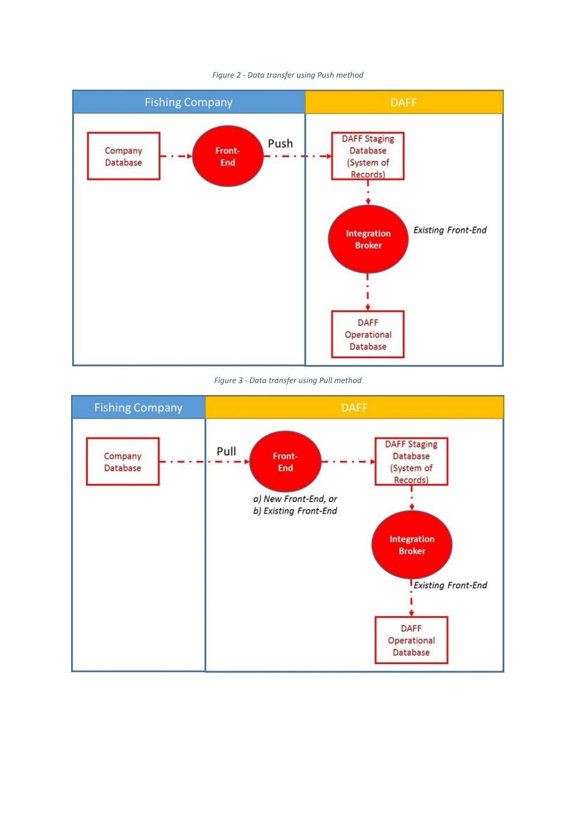

#### *Figure 2 - Data transfer using Push method*

*Figure 3 - Data transfer using Pull method*

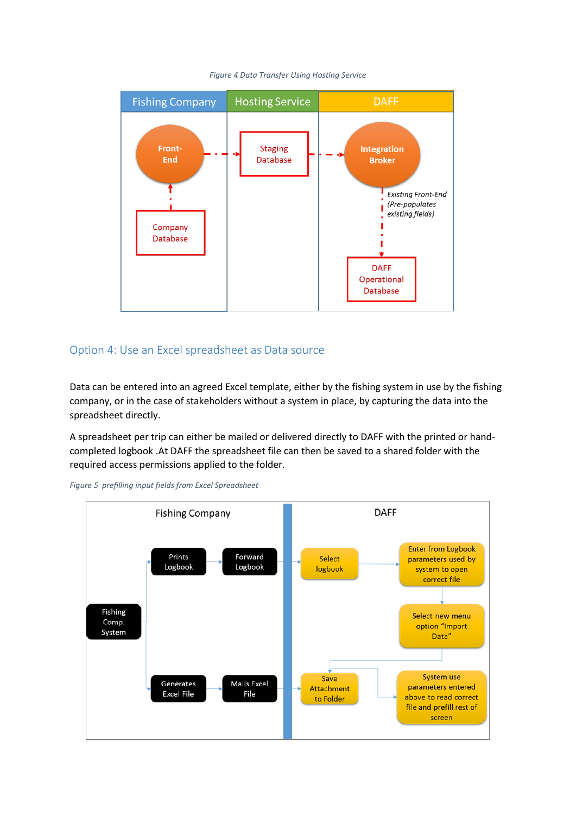

#### *Figure 4 Data Transfer Using Hosting Service*

## <span id="page-9-0"></span>Option 4: Use an Excel spreadsheet as Data source

Data can be entered into an agreed Excel template, either by the fishing system in use by the fishing company, or in the case of stakeholders without a system in place, by capturing the data into the spreadsheet directly.

A spreadsheet per trip can either be mailed or delivered directly to DAFF with the printed or handcompleted logbook .At DAFF the spreadsheet file can then be saved to a shared folder with the required access permissions applied to the folder.